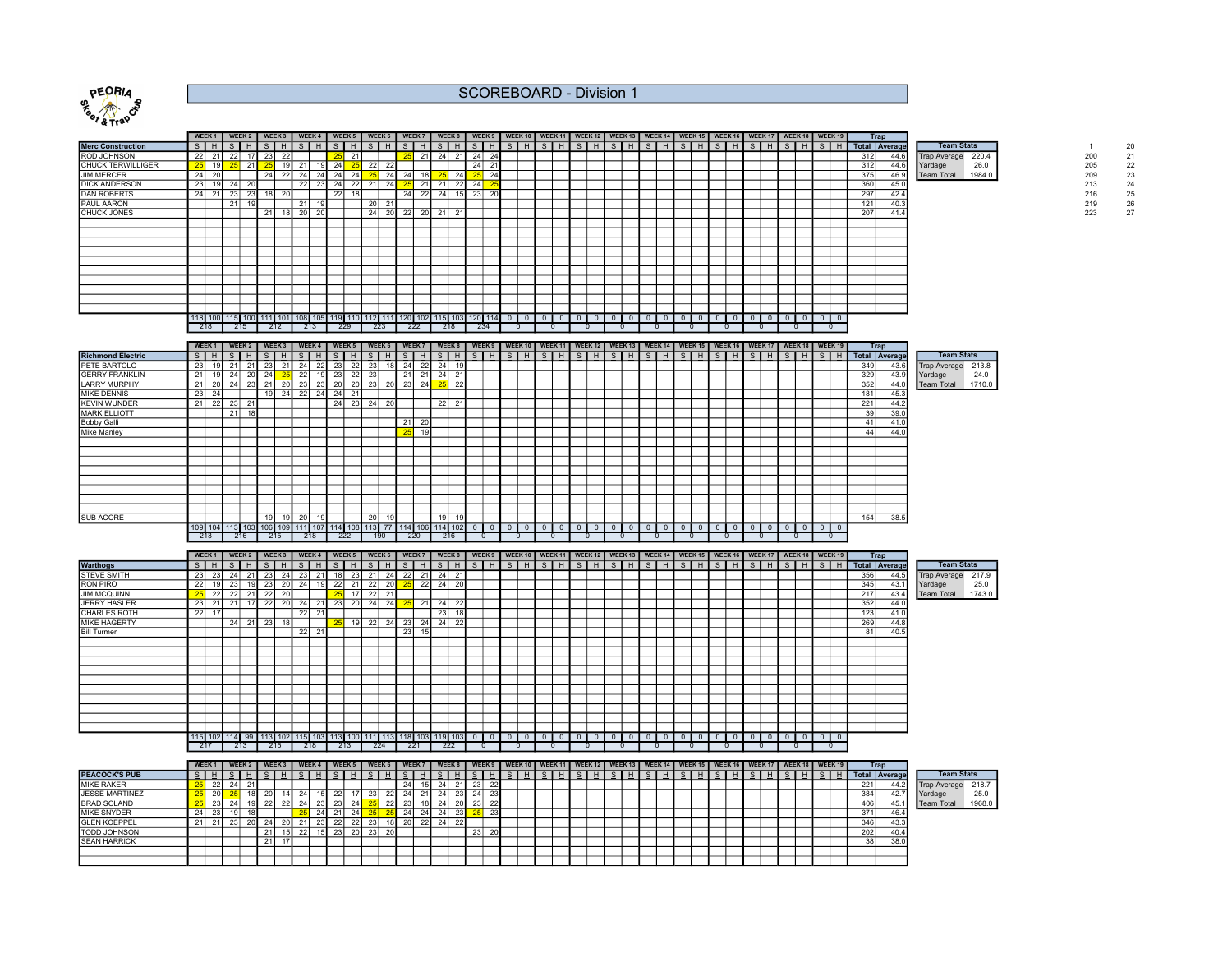

## SCOREBOARD - Division 1

| Trap<br>WEEK1 WEEK2 WEEK3<br>WEEK 9   WEEK 10   WEEK 11   WEEK 12   WEEK 13   WEEK 14   WEEK 15   WEEK 16   WEEK 17   WEEK 18   WEEK 19  <br>WEEK 5   WEEK 6<br>WEEK 8<br><b>WEEK 4</b><br>WEEK 7<br>S <sub>H</sub><br>$ S $ H<br>SHI<br>$S$ $H$ $S$ $H$<br>SHISHISI<br>SH<br>S H<br>$S$ $H$<br>S.<br>S I<br>S <sub>H</sub><br>SH<br>$ S $ H<br>Total Average<br><b>Merc Construction</b><br>21<br>24<br>24<br><b>ROD JOHNSON</b><br>23<br>24<br>-221<br>22<br>17<br>22<br>25<br>25<br>21<br>21<br>-21<br>312<br>44.6<br><b>Trap Average</b><br>21<br>22<br><b>CHUCK TERWILLIGER</b><br>19 <sub>h</sub><br>24<br>24<br>21<br>19 <sup>°</sup><br>21<br>22<br>312<br>44.6<br>Yardage<br><b>JIM MERCER</b><br>24<br>20<br>22<br>24<br>24 24<br>25<br>24<br>24<br>ne.<br>24<br>375<br>Team Total 1984.0<br>-241<br>24<br>46.9<br>23<br>24<br>24<br>DICK ANDERSON<br>19<br>24<br>22<br>23<br>21<br>25<br>21<br>22<br>360<br>-20<br><b>221</b><br>24<br>21<br>45.0<br>22<br>24<br><b>DAN ROBERTS</b><br>24<br>23<br>24<br>23<br>-20<br>297<br>23<br>20<br>-22<br>18<br>42.4<br>21<br>20<br>PAUL AARON<br>21<br>121<br>40.3<br>21<br>21<br>22<br>21<br>207<br>CHUCK JONES<br>20<br>20<br>24<br>20<br>21<br>20<br>21<br>18 <sup>l</sup><br>41.4<br>118 100 115 100 111 101 108 105 119 110 112 111 120 102 115 103 120 114<br>$0$   0<br>$\mathbf{0}$<br>$\mathbf{1}$ 0<br>$^{\circ}$<br>$\mathbf{0}$<br>$\circ$ 1<br>218<br>212<br>213<br>215<br>223<br>-229<br>222<br>234<br>218<br>0 | . |  |  |  |  |  |  |  |  |  |  |  |  |  |  |  |  |  |  |  |                   |       |  |
|---------------------------------------------------------------------------------------------------------------------------------------------------------------------------------------------------------------------------------------------------------------------------------------------------------------------------------------------------------------------------------------------------------------------------------------------------------------------------------------------------------------------------------------------------------------------------------------------------------------------------------------------------------------------------------------------------------------------------------------------------------------------------------------------------------------------------------------------------------------------------------------------------------------------------------------------------------------------------------------------------------------------------------------------------------------------------------------------------------------------------------------------------------------------------------------------------------------------------------------------------------------------------------------------------------------------------------------------------------------------------------------------------------------------------------------------------------------------------------|---|--|--|--|--|--|--|--|--|--|--|--|--|--|--|--|--|--|--|--|-------------------|-------|--|
|                                                                                                                                                                                                                                                                                                                                                                                                                                                                                                                                                                                                                                                                                                                                                                                                                                                                                                                                                                                                                                                                                                                                                                                                                                                                                                                                                                                                                                                                                 |   |  |  |  |  |  |  |  |  |  |  |  |  |  |  |  |  |  |  |  |                   |       |  |
|                                                                                                                                                                                                                                                                                                                                                                                                                                                                                                                                                                                                                                                                                                                                                                                                                                                                                                                                                                                                                                                                                                                                                                                                                                                                                                                                                                                                                                                                                 |   |  |  |  |  |  |  |  |  |  |  |  |  |  |  |  |  |  |  |  | <b>Team Stats</b> |       |  |
|                                                                                                                                                                                                                                                                                                                                                                                                                                                                                                                                                                                                                                                                                                                                                                                                                                                                                                                                                                                                                                                                                                                                                                                                                                                                                                                                                                                                                                                                                 |   |  |  |  |  |  |  |  |  |  |  |  |  |  |  |  |  |  |  |  |                   | 220.4 |  |
|                                                                                                                                                                                                                                                                                                                                                                                                                                                                                                                                                                                                                                                                                                                                                                                                                                                                                                                                                                                                                                                                                                                                                                                                                                                                                                                                                                                                                                                                                 |   |  |  |  |  |  |  |  |  |  |  |  |  |  |  |  |  |  |  |  |                   | 26.0  |  |
|                                                                                                                                                                                                                                                                                                                                                                                                                                                                                                                                                                                                                                                                                                                                                                                                                                                                                                                                                                                                                                                                                                                                                                                                                                                                                                                                                                                                                                                                                 |   |  |  |  |  |  |  |  |  |  |  |  |  |  |  |  |  |  |  |  |                   |       |  |
|                                                                                                                                                                                                                                                                                                                                                                                                                                                                                                                                                                                                                                                                                                                                                                                                                                                                                                                                                                                                                                                                                                                                                                                                                                                                                                                                                                                                                                                                                 |   |  |  |  |  |  |  |  |  |  |  |  |  |  |  |  |  |  |  |  |                   |       |  |
|                                                                                                                                                                                                                                                                                                                                                                                                                                                                                                                                                                                                                                                                                                                                                                                                                                                                                                                                                                                                                                                                                                                                                                                                                                                                                                                                                                                                                                                                                 |   |  |  |  |  |  |  |  |  |  |  |  |  |  |  |  |  |  |  |  |                   |       |  |
|                                                                                                                                                                                                                                                                                                                                                                                                                                                                                                                                                                                                                                                                                                                                                                                                                                                                                                                                                                                                                                                                                                                                                                                                                                                                                                                                                                                                                                                                                 |   |  |  |  |  |  |  |  |  |  |  |  |  |  |  |  |  |  |  |  |                   |       |  |
|                                                                                                                                                                                                                                                                                                                                                                                                                                                                                                                                                                                                                                                                                                                                                                                                                                                                                                                                                                                                                                                                                                                                                                                                                                                                                                                                                                                                                                                                                 |   |  |  |  |  |  |  |  |  |  |  |  |  |  |  |  |  |  |  |  |                   |       |  |
|                                                                                                                                                                                                                                                                                                                                                                                                                                                                                                                                                                                                                                                                                                                                                                                                                                                                                                                                                                                                                                                                                                                                                                                                                                                                                                                                                                                                                                                                                 |   |  |  |  |  |  |  |  |  |  |  |  |  |  |  |  |  |  |  |  |                   |       |  |
|                                                                                                                                                                                                                                                                                                                                                                                                                                                                                                                                                                                                                                                                                                                                                                                                                                                                                                                                                                                                                                                                                                                                                                                                                                                                                                                                                                                                                                                                                 |   |  |  |  |  |  |  |  |  |  |  |  |  |  |  |  |  |  |  |  |                   |       |  |
|                                                                                                                                                                                                                                                                                                                                                                                                                                                                                                                                                                                                                                                                                                                                                                                                                                                                                                                                                                                                                                                                                                                                                                                                                                                                                                                                                                                                                                                                                 |   |  |  |  |  |  |  |  |  |  |  |  |  |  |  |  |  |  |  |  |                   |       |  |
|                                                                                                                                                                                                                                                                                                                                                                                                                                                                                                                                                                                                                                                                                                                                                                                                                                                                                                                                                                                                                                                                                                                                                                                                                                                                                                                                                                                                                                                                                 |   |  |  |  |  |  |  |  |  |  |  |  |  |  |  |  |  |  |  |  |                   |       |  |
|                                                                                                                                                                                                                                                                                                                                                                                                                                                                                                                                                                                                                                                                                                                                                                                                                                                                                                                                                                                                                                                                                                                                                                                                                                                                                                                                                                                                                                                                                 |   |  |  |  |  |  |  |  |  |  |  |  |  |  |  |  |  |  |  |  |                   |       |  |
|                                                                                                                                                                                                                                                                                                                                                                                                                                                                                                                                                                                                                                                                                                                                                                                                                                                                                                                                                                                                                                                                                                                                                                                                                                                                                                                                                                                                                                                                                 |   |  |  |  |  |  |  |  |  |  |  |  |  |  |  |  |  |  |  |  |                   |       |  |
|                                                                                                                                                                                                                                                                                                                                                                                                                                                                                                                                                                                                                                                                                                                                                                                                                                                                                                                                                                                                                                                                                                                                                                                                                                                                                                                                                                                                                                                                                 |   |  |  |  |  |  |  |  |  |  |  |  |  |  |  |  |  |  |  |  |                   |       |  |
|                                                                                                                                                                                                                                                                                                                                                                                                                                                                                                                                                                                                                                                                                                                                                                                                                                                                                                                                                                                                                                                                                                                                                                                                                                                                                                                                                                                                                                                                                 |   |  |  |  |  |  |  |  |  |  |  |  |  |  |  |  |  |  |  |  |                   |       |  |
|                                                                                                                                                                                                                                                                                                                                                                                                                                                                                                                                                                                                                                                                                                                                                                                                                                                                                                                                                                                                                                                                                                                                                                                                                                                                                                                                                                                                                                                                                 |   |  |  |  |  |  |  |  |  |  |  |  |  |  |  |  |  |  |  |  |                   |       |  |
|                                                                                                                                                                                                                                                                                                                                                                                                                                                                                                                                                                                                                                                                                                                                                                                                                                                                                                                                                                                                                                                                                                                                                                                                                                                                                                                                                                                                                                                                                 |   |  |  |  |  |  |  |  |  |  |  |  |  |  |  |  |  |  |  |  |                   |       |  |
|                                                                                                                                                                                                                                                                                                                                                                                                                                                                                                                                                                                                                                                                                                                                                                                                                                                                                                                                                                                                                                                                                                                                                                                                                                                                                                                                                                                                                                                                                 |   |  |  |  |  |  |  |  |  |  |  |  |  |  |  |  |  |  |  |  |                   |       |  |
|                                                                                                                                                                                                                                                                                                                                                                                                                                                                                                                                                                                                                                                                                                                                                                                                                                                                                                                                                                                                                                                                                                                                                                                                                                                                                                                                                                                                                                                                                 |   |  |  |  |  |  |  |  |  |  |  |  |  |  |  |  |  |  |  |  |                   |       |  |
|                                                                                                                                                                                                                                                                                                                                                                                                                                                                                                                                                                                                                                                                                                                                                                                                                                                                                                                                                                                                                                                                                                                                                                                                                                                                                                                                                                                                                                                                                 |   |  |  |  |  |  |  |  |  |  |  |  |  |  |  |  |  |  |  |  |                   |       |  |
| WEEK1 WEEK2 WEEK3 WEEK4 WEEK5 WEEK6 WEEK7 WEEK7 WEEK8 WEEK9 WEEK10 WEEK11 WEEK12 WEEK13 WEEK14 WEEK15 WEEK16 WEEK17 WEEK18 WEEK18 WEEK19 <br>Trap                                                                                                                                                                                                                                                                                                                                                                                                                                                                                                                                                                                                                                                                                                                                                                                                                                                                                                                                                                                                                                                                                                                                                                                                                                                                                                                               |   |  |  |  |  |  |  |  |  |  |  |  |  |  |  |  |  |  |  |  |                   |       |  |

|                          | WEEK <sub>1</sub> |                 | WEEK 2                                  |    | WEEK 3          |       | WEEK 4        |                 |                 | WEEK 5 |    | WEEK 6  |                        | WEEK 7  |         |     |  |                 |     |  |           |  |  |                 |            |         |             | WEEK 8   WEEK 9   WEEK 10   WEEK 11   WEEK 12   WEEK 13   WEEK 14   WEEK 15   WEEK 16   WEEK 17   WEEK 18   WEEK 19 |     | Trap          |                     |       |  |
|--------------------------|-------------------|-----------------|-----------------------------------------|----|-----------------|-------|---------------|-----------------|-----------------|--------|----|---------|------------------------|---------|---------|-----|--|-----------------|-----|--|-----------|--|--|-----------------|------------|---------|-------------|---------------------------------------------------------------------------------------------------------------------|-----|---------------|---------------------|-------|--|
| <b>Richmond Electric</b> | S H               |                 | S.                                      |    | $S$ $H$         |       | $\mathcal{S}$ |                 | S I             | H      |    | SHH     |                        | S H     |         | SH  |  | $S$ $H$ $S$ $H$ | SHH |  | SHSHSHSHI |  |  | SH <sub>H</sub> | $\sqrt{3}$ | SHH     | $S$ $H$     | $\overline{\text{s}}$ $\overline{\text{H}}$                                                                         |     | Total Average | <b>Team Stats</b>   |       |  |
| PETE BARTOLO             | - 23              |                 | 19 21                                   | 21 | - 23            | 21 24 |               | 22              | -231            | 22     | 23 |         | $18 \mid 24 \mid$      |         | 22 24   | 19  |  |                 |     |  |           |  |  |                 |            |         |             |                                                                                                                     | 349 | 43.6          | <b>Trap Average</b> | 213.8 |  |
| <b>GERRY FRANKLIN</b>    | 21                |                 | 24                                      | 20 | 24 <sub>1</sub> |       | 22            | 19              | 23              | 22     | 23 |         |                        | $21$ 21 | $^{24}$ | 21  |  |                 |     |  |           |  |  |                 |            |         |             |                                                                                                                     | 329 | 43.9          | Yardage             | 24.0  |  |
| <b>LARRY MURPHY</b>      | 21                | 20 <sup>1</sup> | 24                                      | 23 | 21              | 20    | 23            | 23              | 20 <sup>1</sup> | 20     | 23 | 20      | 23                     | 24      | 25      | 22  |  |                 |     |  |           |  |  |                 |            |         |             |                                                                                                                     | 352 | 44.0          | Team Total 1710.0   |       |  |
| <b>MIKE DENNIS</b>       | 23                | 24              |                                         |    | 19              | 24 22 |               | 24              | 24              | 21     |    |         |                        |         |         |     |  |                 |     |  |           |  |  |                 |            |         |             |                                                                                                                     | 181 | 45.3          |                     |       |  |
| <b>KEVIN WUNDER</b>      | 21                | -22             | 23                                      | 21 |                 |       |               |                 | 24              | 23     |    | $24$ 20 |                        |         | 22      | 211 |  |                 |     |  |           |  |  |                 |            |         |             |                                                                                                                     | 221 | 44.2          |                     |       |  |
| <b>MARK ELLIOTT</b>      |                   |                 | 21                                      | 18 |                 |       |               |                 |                 |        |    |         |                        |         |         |     |  |                 |     |  |           |  |  |                 |            |         |             |                                                                                                                     | 39  | 39.0          |                     |       |  |
| <b>Bobby Galli</b>       |                   |                 |                                         |    |                 |       |               |                 |                 |        |    |         | 21                     | 20      |         |     |  |                 |     |  |           |  |  |                 |            |         |             |                                                                                                                     | 41  | 41.0          |                     |       |  |
| <b>Mike Manley</b>       |                   |                 |                                         |    |                 |       |               |                 |                 |        |    |         |                        | 19      |         |     |  |                 |     |  |           |  |  |                 |            |         |             |                                                                                                                     | 44  | 44.0          |                     |       |  |
|                          |                   |                 |                                         |    |                 |       |               |                 |                 |        |    |         |                        |         |         |     |  |                 |     |  |           |  |  |                 |            |         |             |                                                                                                                     |     |               |                     |       |  |
|                          |                   |                 |                                         |    |                 |       |               |                 |                 |        |    |         |                        |         |         |     |  |                 |     |  |           |  |  |                 |            |         |             |                                                                                                                     |     |               |                     |       |  |
|                          |                   |                 |                                         |    |                 |       |               |                 |                 |        |    |         |                        |         |         |     |  |                 |     |  |           |  |  |                 |            |         |             |                                                                                                                     |     |               |                     |       |  |
|                          |                   |                 |                                         |    |                 |       |               |                 |                 |        |    |         |                        |         |         |     |  |                 |     |  |           |  |  |                 |            |         |             |                                                                                                                     |     |               |                     |       |  |
|                          |                   |                 |                                         |    |                 |       |               |                 |                 |        |    |         |                        |         |         |     |  |                 |     |  |           |  |  |                 |            |         |             |                                                                                                                     |     |               |                     |       |  |
|                          |                   |                 |                                         |    |                 |       |               |                 |                 |        |    |         |                        |         |         |     |  |                 |     |  |           |  |  |                 |            |         |             |                                                                                                                     |     |               |                     |       |  |
|                          |                   |                 |                                         |    |                 |       |               |                 |                 |        |    |         |                        |         |         |     |  |                 |     |  |           |  |  |                 |            |         |             |                                                                                                                     |     |               |                     |       |  |
|                          |                   |                 |                                         |    |                 |       |               |                 |                 |        |    |         |                        |         |         |     |  |                 |     |  |           |  |  |                 |            |         |             |                                                                                                                     |     |               |                     |       |  |
| <b>SUB ACORE</b>         |                   |                 |                                         |    | 19              | 19    | 20            | 19 <sub>1</sub> |                 |        | 20 |         |                        |         | 19      | 19  |  |                 |     |  |           |  |  |                 |            |         |             |                                                                                                                     | 154 | 38.5          |                     |       |  |
|                          |                   |                 | 109 104 113 103 106 109 111 107 114 108 |    |                 |       |               |                 |                 |        |    |         | 113 77 114 106 114 102 |         |         |     |  | $\mathbf{0}$    |     |  |           |  |  |                 |            | $\circ$ | $0 0 0 0 0$ |                                                                                                                     |     |               |                     |       |  |
|                          | 213               |                 | 216                                     |    | 215             |       | 218           |                 | 222             |        |    | 190     |                        | 220     |         | 216 |  |                 |     |  |           |  |  |                 |            |         |             |                                                                                                                     |     |               |                     |       |  |

|                     |                                                    |      |      |      |             |     |    |                                                                                           |       |                 |    |             |            |              |       |                 |              |  |          |  |  |  |  |  |  |  |              |          |  | WEEK1  WEEK2   WEEK3   WEEK4   WEEK5   WEEK6   WEEK7   WEEK8   WEEK9   WEEK10   WEEK11   WEEK12   WEEK14   WEEK14   WEEK16   WEEK17   WEEK17   WEEK18   WEEK18   WEEK18   WEEK17   WEEK18   WEEK17   WEEK18   WEEK17   WEEK17 | <b>Trap</b> |               |                     |                   |        |
|---------------------|----------------------------------------------------|------|------|------|-------------|-----|----|-------------------------------------------------------------------------------------------|-------|-----------------|----|-------------|------------|--------------|-------|-----------------|--------------|--|----------|--|--|--|--|--|--|--|--------------|----------|--|-------------------------------------------------------------------------------------------------------------------------------------------------------------------------------------------------------------------------------|-------------|---------------|---------------------|-------------------|--------|
| <b>Warthogs</b>     | SHI                                                |      | SI.  | H    |             |     |    | $\blacksquare$ $\blacksquare$ $\blacksquare$ $\blacksquare$ $\blacksquare$ $\blacksquare$ |       | SHSI            |    |             |            | <b>HISHI</b> |       | S H             |              |  |          |  |  |  |  |  |  |  |              |          |  | SHI                                                                                                                                                                                                                           |             | Total Average |                     | <b>Team Stats</b> |        |
| <b>STEVE SMITH</b>  | 23                                                 | -231 |      |      | -231        | 24  | 23 |                                                                                           |       | 23              | 21 | 24          | 22         |              | 21 24 | 21              |              |  |          |  |  |  |  |  |  |  |              |          |  |                                                                                                                                                                                                                               | 356         | 44.5          | <b>Trap Average</b> |                   | 217.9  |
| <b>RON PIRO</b>     | 22                                                 |      |      |      | 23          | 20  | 24 | 19 <sup>1</sup>                                                                           | 22    | -21             | 22 | 20          |            | $25$ 22 24   |       | $\overline{20}$ |              |  |          |  |  |  |  |  |  |  |              |          |  |                                                                                                                                                                                                                               | 345         | 43.1          | Yardage             |                   | 25.0   |
| <b>JIM MCQUINN</b>  |                                                    |      | -221 | 21 L | 22          | 20  |    |                                                                                           | 25    | 17              | 22 | 21          |            |              |       |                 |              |  |          |  |  |  |  |  |  |  |              |          |  |                                                                                                                                                                                                                               | 217         | 43.4          | <b>Team Total</b>   |                   | 1743.0 |
| JERRY HASLER        | 23                                                 |      | 21   |      | 17 22 20 24 |     |    |                                                                                           | 21 23 |                 |    | 20 24 24 25 |            |              | 21 24 | 22              |              |  |          |  |  |  |  |  |  |  |              |          |  |                                                                                                                                                                                                                               | 352         | 44.0          |                     |                   |        |
| <b>CHARLES ROTH</b> | 22                                                 | 17   |      |      |             |     | 22 | 21                                                                                        |       |                 |    |             |            |              | 23    | 18              |              |  |          |  |  |  |  |  |  |  |              |          |  |                                                                                                                                                                                                                               | 123         | 41.0          |                     |                   |        |
| MIKE HAGERTY        |                                                    |      | 24   |      | 23          | 18  |    |                                                                                           |       | 19 <sub>l</sub> | 22 | 24          | <b>231</b> | 24           | 24    | 22              |              |  |          |  |  |  |  |  |  |  |              |          |  |                                                                                                                                                                                                                               | 269         | 44.8          |                     |                   |        |
| <b>Bill Turmer</b>  |                                                    |      |      |      |             |     | 22 | 21                                                                                        |       |                 |    |             | 23         | 15           |       |                 |              |  |          |  |  |  |  |  |  |  |              |          |  |                                                                                                                                                                                                                               | 81          | 40.5          |                     |                   |        |
|                     |                                                    |      |      |      |             |     |    |                                                                                           |       |                 |    |             |            |              |       |                 |              |  |          |  |  |  |  |  |  |  |              |          |  |                                                                                                                                                                                                                               |             |               |                     |                   |        |
|                     |                                                    |      |      |      |             |     |    |                                                                                           |       |                 |    |             |            |              |       |                 |              |  |          |  |  |  |  |  |  |  |              |          |  |                                                                                                                                                                                                                               |             |               |                     |                   |        |
|                     |                                                    |      |      |      |             |     |    |                                                                                           |       |                 |    |             |            |              |       |                 |              |  |          |  |  |  |  |  |  |  |              |          |  |                                                                                                                                                                                                                               |             |               |                     |                   |        |
|                     |                                                    |      |      |      |             |     |    |                                                                                           |       |                 |    |             |            |              |       |                 |              |  |          |  |  |  |  |  |  |  |              |          |  |                                                                                                                                                                                                                               |             |               |                     |                   |        |
|                     |                                                    |      |      |      |             |     |    |                                                                                           |       |                 |    |             |            |              |       |                 |              |  |          |  |  |  |  |  |  |  |              |          |  |                                                                                                                                                                                                                               |             |               |                     |                   |        |
|                     |                                                    |      |      |      |             |     |    |                                                                                           |       |                 |    |             |            |              |       |                 |              |  |          |  |  |  |  |  |  |  |              |          |  |                                                                                                                                                                                                                               |             |               |                     |                   |        |
|                     |                                                    |      |      |      |             |     |    |                                                                                           |       |                 |    |             |            |              |       |                 |              |  |          |  |  |  |  |  |  |  |              |          |  |                                                                                                                                                                                                                               |             |               |                     |                   |        |
|                     |                                                    |      |      |      |             |     |    |                                                                                           |       |                 |    |             |            |              |       |                 |              |  |          |  |  |  |  |  |  |  |              |          |  |                                                                                                                                                                                                                               |             |               |                     |                   |        |
|                     |                                                    |      |      |      |             |     |    |                                                                                           |       |                 |    |             |            |              |       |                 |              |  |          |  |  |  |  |  |  |  |              |          |  |                                                                                                                                                                                                                               |             |               |                     |                   |        |
|                     |                                                    |      |      |      |             |     |    |                                                                                           |       |                 |    |             |            |              |       |                 |              |  |          |  |  |  |  |  |  |  |              |          |  |                                                                                                                                                                                                                               |             |               |                     |                   |        |
|                     | 115 102 114 99 113 102 115 103 113 100 111 113 118 |      |      |      |             |     |    |                                                                                           |       |                 |    |             |            |              |       | 119 103         | $\mathbf{0}$ |  | $\Omega$ |  |  |  |  |  |  |  | $\mathbf{0}$ | $\Omega$ |  | 0 0 0                                                                                                                                                                                                                         |             |               |                     |                   |        |
|                     | 217                                                |      |      | 213  |             | 215 |    | 218                                                                                       |       | 213             |    | 224         |            | 221          |       | 222             |              |  |          |  |  |  |  |  |  |  |              |          |  |                                                                                                                                                                                                                               |             |               |                     |                   |        |

|                       | <b>WEEK</b>     |      | WEEK 2 |            | WEEK <sub>3</sub> |     | WEEK 4          |     | WEEK 5     | WEEK 6 |    | WEEK 7 |        | WEEK <sub>8</sub> |              | WEEK 9     |  | WEEK 10   WEEK 11   WEEK 12   WEEK 13   WEEK 14   WEEK 15   WEEK 16   WEEK 17   WEEK 18   WEEK 19 |   |  |  |  |        |  |   |  |               |  |                      | Trap |      |                     |                   |  |
|-----------------------|-----------------|------|--------|------------|-------------------|-----|-----------------|-----|------------|--------|----|--------|--------|-------------------|--------------|------------|--|---------------------------------------------------------------------------------------------------|---|--|--|--|--------|--|---|--|---------------|--|----------------------|------|------|---------------------|-------------------|--|
| <b>PEACOCK'S PUB</b>  |                 |      |        |            |                   |     |                 |     | H          |        |    |        |        | H                 |              |            |  |                                                                                                   | H |  |  |  | $\sim$ |  | . |  | $\mathcal{S}$ |  | <b>Total Average</b> |      |      |                     | <b>Team Stats</b> |  |
| <b>MIKE RAKER</b>     | 22              | 24   | 21     |            |                   |     |                 |     |            |        |    | 24     | 24     | <b>211</b>        | 23           | 22         |  |                                                                                                   |   |  |  |  |        |  |   |  |               |  | 221                  |      |      | <b>Trap Average</b> | 218.7             |  |
| <b>JESSE MARTINEZ</b> | 20 <sup>1</sup> |      |        |            |                   |     |                 |     |            | 23     |    | -241   |        | -231              | 24           | <b>231</b> |  |                                                                                                   |   |  |  |  |        |  |   |  |               |  | 384                  |      |      | Yardage             | 25.0              |  |
| <b>BRAD SOLAND</b>    | 23              | -4   |        | <b>221</b> | -221              | 24' | 23 <sub>l</sub> | 231 | 24         |        |    | -231   | 24     | 20                | 23           | <b>221</b> |  |                                                                                                   |   |  |  |  |        |  |   |  |               |  | 406                  |      | 45.1 | <b>Team Total</b>   | 1968.0            |  |
| <b>IMIKE SNYDER</b>   | 23              |      |        |            |                   |     |                 |     | 24         |        |    | 24     | $\sim$ | 23                |              | 23         |  |                                                                                                   |   |  |  |  |        |  |   |  |               |  | 371                  |      |      |                     |                   |  |
| <b>GLEN KOEPPEL</b>   |                 | - 40 | 20     | <b>24</b>  |                   |     | <b>231</b>      | 22  | ົດດ<br>-44 | 231    |    | 2v     | 24     | 22                |              |            |  |                                                                                                   |   |  |  |  |        |  |   |  |               |  | 346                  |      | 43.3 |                     |                   |  |
| <b>TODD JOHNSON</b>   |                 |      |        | 211        |                   | 22  |                 | 23  | 20         | 23     | 20 |        |        |                   | $\sim$<br>23 | 20 I       |  |                                                                                                   |   |  |  |  |        |  |   |  |               |  | 202                  |      | 40.4 |                     |                   |  |
| <b>SEAN HARRICK</b>   |                 |      |        |            |                   |     |                 |     |            |        |    |        |        |                   |              |            |  |                                                                                                   |   |  |  |  |        |  |   |  |               |  | 38                   |      | 38.0 |                     |                   |  |
|                       |                 |      |        |            |                   |     |                 |     |            |        |    |        |        |                   |              |            |  |                                                                                                   |   |  |  |  |        |  |   |  |               |  |                      |      |      |                     |                   |  |
|                       |                 |      |        |            |                   |     |                 |     |            |        |    |        |        |                   |              |            |  |                                                                                                   |   |  |  |  |        |  |   |  |               |  |                      |      |      |                     |                   |  |

| <b>Team Stats</b>   |        |
|---------------------|--------|
| <b>Trap Average</b> | 218.7  |
| Yardage             | 25.0   |
| <b>Team Total</b>   | 1968.0 |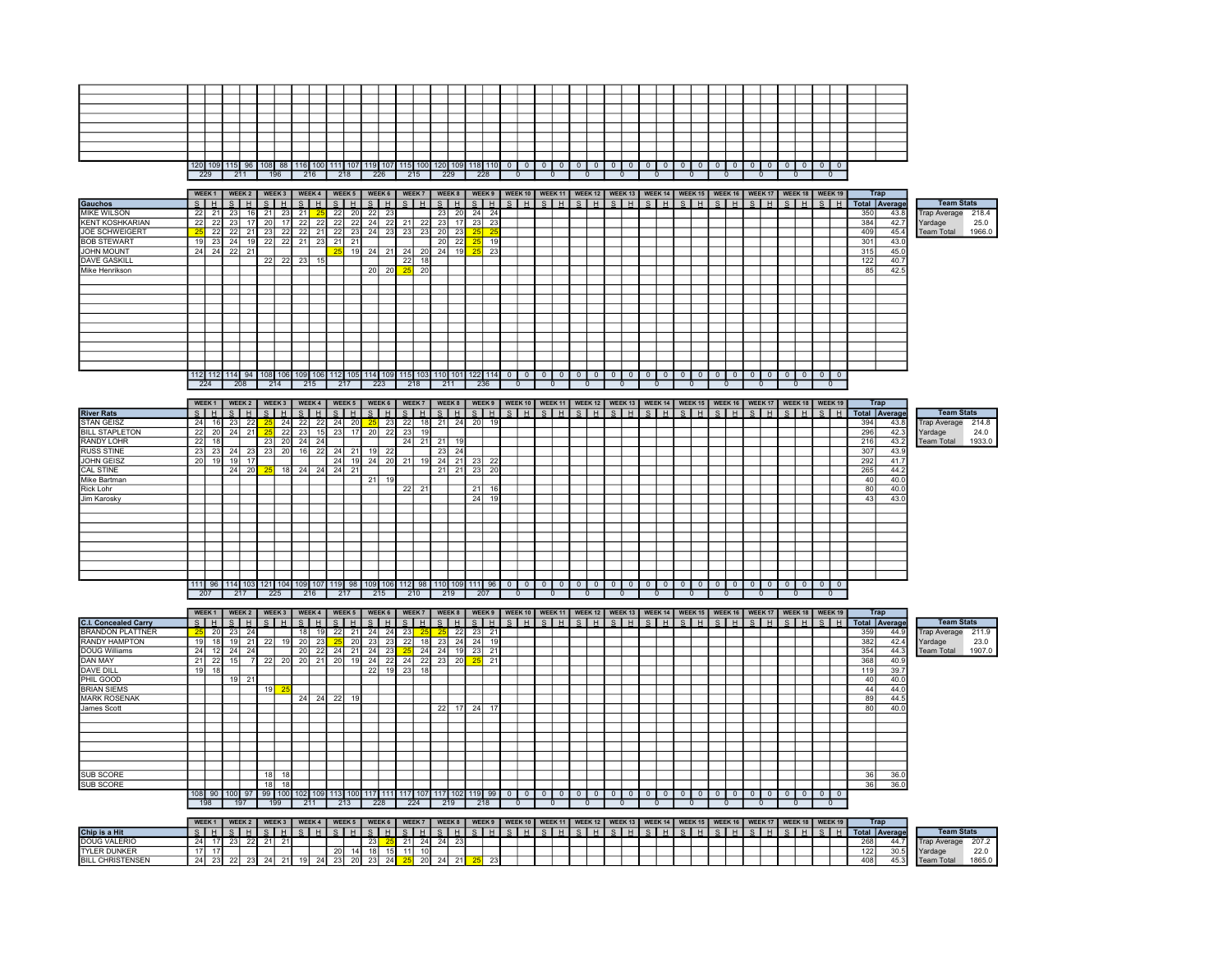|  |     |     |     | 120 109 115 96 108 88 116 100 111 107 |     |  |     |     |  | 119 107 115 100 120 109 118 1 | 1101 | 0 |  |  |  | $\mathbf{u}$ |  |  |  |  | $\Omega$ | $\overline{0}$ |  |
|--|-----|-----|-----|---------------------------------------|-----|--|-----|-----|--|-------------------------------|------|---|--|--|--|--------------|--|--|--|--|----------|----------------|--|
|  | 229 | 211 | 196 | 216                                   | 218 |  | 226 | 215 |  | 229                           | 228  |   |  |  |  |              |  |  |  |  |          |                |  |

|                        |    | WEEK <sub>1</sub> |         | WEEK 2          |    | WEEK 3 |       | WEEK 4                                                                 |       |    |                 |    |            |    |               |    |    |         |              | WEEK 5   WEEK 6   WEEK 7   WEEK 8   WEEK 9   WEEK 10   WEEK 11   WEEK 12   WEEK 13   WEEK 14   WEEK 15   WEEK 17   WEEK 18   WEEK 18   WEEK 19 |              |              |          |  |          |  |          |          |          |          |         |                |     | <b>Trap</b>   |                     |        |
|------------------------|----|-------------------|---------|-----------------|----|--------|-------|------------------------------------------------------------------------|-------|----|-----------------|----|------------|----|---------------|----|----|---------|--------------|------------------------------------------------------------------------------------------------------------------------------------------------|--------------|--------------|----------|--|----------|--|----------|----------|----------|----------|---------|----------------|-----|---------------|---------------------|--------|
| <b>Gauchos</b>         |    | S H               | $ S $ H |                 |    | SHI    |       | S H                                                                    | ™ S ⊫ |    | $H$ $S$ $H$     |    | <b>SHH</b> |    |               |    |    |         |              | S   H   S   H   S   H   S   H   S   H   S   H   S   H   S   H   S   H   S   H   S   H   S   H                                                  |              |              |          |  |          |  |          |          |          |          |         |                |     | Total Average | <b>Team Stats</b>   |        |
| <b>MIKE WILSON</b>     | 22 |                   | -23     |                 |    | 23 I   | 211   |                                                                        | 22    | 20 | <b>221</b>      | 23 |            |    | 23            | 20 | 24 | 24      |              |                                                                                                                                                |              |              |          |  |          |  |          |          |          |          |         |                | 350 | 43.8          | <b>Trap Average</b> | 218.4  |
| <b>KENT KOSHKARIAN</b> | 22 |                   | 23      |                 | 20 |        | 22    | 22                                                                     | 22    | 22 | 24              | 22 | 21         | 22 | 23            |    | 23 | 23      |              |                                                                                                                                                |              |              |          |  |          |  |          |          |          |          |         |                | 384 | 42.7          | Yardage             | 25.0   |
| JOE SCHWEIGERT         |    | 22                | 22      |                 | 23 |        | 22    | 21                                                                     | 22    | 23 | 24              |    | 23 23      | 23 | 20            | 23 |    |         |              |                                                                                                                                                |              |              |          |  |          |  |          |          |          |          |         |                | 409 | 45.4          | <b>Team Total</b>   | 1966.0 |
| <b>BOB STEWART</b>     |    |                   | 23 24   | 19 <sup>l</sup> | 22 |        | 22 21 | 23                                                                     | 21    | 21 |                 |    |            |    | 20            | 22 | 25 | 19      |              |                                                                                                                                                |              |              |          |  |          |  |          |          |          |          |         |                | 301 | 43.0          |                     |        |
| <b>JOHN MOUNT</b>      | 24 | 24                | 22      | 21              |    |        |       |                                                                        | 25    | 19 | 24              | 21 | 24         |    | $20 \quad 24$ | 19 |    | $25$ 23 |              |                                                                                                                                                |              |              |          |  |          |  |          |          |          |          |         |                | 315 | 45.0          |                     |        |
| <b>DAVE GASKILL</b>    |    |                   |         |                 | 22 | $\sim$ | -231  |                                                                        |       |    |                 |    | 22         | 18 |               |    |    |         |              |                                                                                                                                                |              |              |          |  |          |  |          |          |          |          |         |                | 122 | 40.7          |                     |        |
| Mike Henrikson         |    |                   |         |                 |    |        |       |                                                                        |       |    | 20 <sup>1</sup> | 20 |            | 20 |               |    |    |         |              |                                                                                                                                                |              |              |          |  |          |  |          |          |          |          |         |                | 85  | 42.5          |                     |        |
|                        |    |                   |         |                 |    |        |       |                                                                        |       |    |                 |    |            |    |               |    |    |         |              |                                                                                                                                                |              |              |          |  |          |  |          |          |          |          |         |                |     |               |                     |        |
|                        |    |                   |         |                 |    |        |       |                                                                        |       |    |                 |    |            |    |               |    |    |         |              |                                                                                                                                                |              |              |          |  |          |  |          |          |          |          |         |                |     |               |                     |        |
|                        |    |                   |         |                 |    |        |       |                                                                        |       |    |                 |    |            |    |               |    |    |         |              |                                                                                                                                                |              |              |          |  |          |  |          |          |          |          |         |                |     |               |                     |        |
|                        |    |                   |         |                 |    |        |       |                                                                        |       |    |                 |    |            |    |               |    |    |         |              |                                                                                                                                                |              |              |          |  |          |  |          |          |          |          |         |                |     |               |                     |        |
|                        |    |                   |         |                 |    |        |       |                                                                        |       |    |                 |    |            |    |               |    |    |         |              |                                                                                                                                                |              |              |          |  |          |  |          |          |          |          |         |                |     |               |                     |        |
|                        |    |                   |         |                 |    |        |       |                                                                        |       |    |                 |    |            |    |               |    |    |         |              |                                                                                                                                                |              |              |          |  |          |  |          |          |          |          |         |                |     |               |                     |        |
|                        |    |                   |         |                 |    |        |       |                                                                        |       |    |                 |    |            |    |               |    |    |         |              |                                                                                                                                                |              |              |          |  |          |  |          |          |          |          |         |                |     |               |                     |        |
|                        |    |                   |         |                 |    |        |       |                                                                        |       |    |                 |    |            |    |               |    |    |         |              |                                                                                                                                                |              |              |          |  |          |  |          |          |          |          |         |                |     |               |                     |        |
|                        |    |                   |         |                 |    |        |       |                                                                        |       |    |                 |    |            |    |               |    |    |         |              |                                                                                                                                                |              |              |          |  |          |  |          |          |          |          |         |                |     |               |                     |        |
|                        |    |                   |         |                 |    |        |       |                                                                        |       |    |                 |    |            |    |               |    |    |         |              |                                                                                                                                                |              |              |          |  |          |  |          |          |          |          |         |                |     |               |                     |        |
|                        |    |                   |         |                 |    |        |       | 112 112 114 94 108 106 109 106 112 105 114 109 115 103 110 101 122 114 |       |    |                 |    |            |    |               |    |    |         | $\mathbf{0}$ | $\Omega$                                                                                                                                       | $\mathbf{0}$ | $\mathbf{0}$ | $\Omega$ |  | $\Omega$ |  | $\Omega$ | $\Omega$ | $\Omega$ | $\Omega$ | $\circ$ | 0 <sub>0</sub> |     |               |                     |        |
|                        |    | 224               |         | 208             |    | 214    |       | 215                                                                    | 217   |    | 223             |    | 218        |    | 211           |    |    | 236     |              |                                                                                                                                                |              |              |          |  |          |  |          |          |          |          |         | $\mathbf{0}$   |     |               |                     |        |

|                       |    | WEEK <sub>1</sub> |    | WEEK 2         |    |      |                 | WEEK 3   WEEK 4 |              | WEEK 5                                        |    | WEEK 6 |      | WEEK 7 |     | WEEK 8 |    |          |  | WEEK 9   WEEK 10   WEEK 11   WEEK 12   WEEK 13   WEEK 14   WEEK 15   WEEK 16   WEEK 17   WEEK 18   WEEK 19 |  |  |  |              |              |              |     |              |              |                |     | Trap          |                    |        |
|-----------------------|----|-------------------|----|----------------|----|------|-----------------|-----------------|--------------|-----------------------------------------------|----|--------|------|--------|-----|--------|----|----------|--|------------------------------------------------------------------------------------------------------------|--|--|--|--------------|--------------|--------------|-----|--------------|--------------|----------------|-----|---------------|--------------------|--------|
| <b>River Rats</b>     |    | SHH               |    | S <sub>H</sub> |    |      | $\mathbf{s}$    | H               | <sub>S</sub> | H                                             | S. |        | -s I | H      |     | S H    |    | $S$ $H$  |  |                                                                                                            |  |  |  |              |              |              | S H | $\mathbf{s}$ | H            | S <sub>H</sub> |     | Total Average | <b>Team Stats</b>  |        |
| <b>STAN GEISZ</b>     | 24 |                   | 23 | 22             |    | 24   | 22              | 22              | 24           | 20                                            | 25 | 23     | 22   |        | 21  | 24     | 20 | 19       |  |                                                                                                            |  |  |  |              |              |              |     |              |              |                | 394 | 43.8          | Trap Average 214.8 |        |
| <b>BILL STAPLETON</b> | 22 |                   | 24 | 21             |    | 22   | 23              |                 | 23           | 17 <sup>1</sup>                               | 20 | 22     | 23   |        |     |        |    |          |  |                                                                                                            |  |  |  |              |              |              |     |              |              |                | 296 | 42.3          | Yardage            | 24.0   |
| RANDY LOHR            | 22 |                   |    |                | 23 | 20   | 24              | -24             |              |                                               |    |        | 24   | 21     | 21  | 19     |    |          |  |                                                                                                            |  |  |  |              |              |              |     |              |              |                | 216 | 43.2          | <b>Team Total</b>  | 1933.0 |
| <b>RUSS STINE</b>     | 23 |                   | 24 | 23             | 23 | 20 I | 16 <sup>1</sup> | 221             | 24           | 21                                            | 19 | 22     |      |        | 23  | 24     |    |          |  |                                                                                                            |  |  |  |              |              |              |     |              |              |                | 307 | 43.9          |                    |        |
| <b>JOHN GEISZ</b>     | 20 |                   | 19 | 17             |    |      |                 |                 | 24           | 19                                            | 24 | 20     | 21   |        | 24  | 21     | 23 | 22       |  |                                                                                                            |  |  |  |              |              |              |     |              |              |                | 292 | 41.7          |                    |        |
| <b>CAL STINE</b>      |    |                   | 24 | 20             |    | 18   | 24              | 24              | 24           | 21                                            |    |        |      |        | 21  | 21     | 23 | -201     |  |                                                                                                            |  |  |  |              |              |              |     |              |              |                | 265 | 44.2          |                    |        |
| Mike Bartman          |    |                   |    |                |    |      |                 |                 |              |                                               | 21 | 19     |      |        |     |        |    |          |  |                                                                                                            |  |  |  |              |              |              |     |              |              |                | 40  | 40.0          |                    |        |
| <b>Rick Lohr</b>      |    |                   |    |                |    |      |                 |                 |              |                                               |    |        | 22   | 21     |     |        | 21 | 161      |  |                                                                                                            |  |  |  |              |              |              |     |              |              |                | 80  | 40.0          |                    |        |
| Jim Karosky           |    |                   |    |                |    |      |                 |                 |              |                                               |    |        |      |        |     |        | 24 | 19       |  |                                                                                                            |  |  |  |              |              |              |     |              |              |                | 43  | 43.0          |                    |        |
|                       |    |                   |    |                |    |      |                 |                 |              |                                               |    |        |      |        |     |        |    |          |  |                                                                                                            |  |  |  |              |              |              |     |              |              |                |     |               |                    |        |
|                       |    |                   |    |                |    |      |                 |                 |              |                                               |    |        |      |        |     |        |    |          |  |                                                                                                            |  |  |  |              |              |              |     |              |              |                |     |               |                    |        |
|                       |    |                   |    |                |    |      |                 |                 |              |                                               |    |        |      |        |     |        |    |          |  |                                                                                                            |  |  |  |              |              |              |     |              |              |                |     |               |                    |        |
|                       |    |                   |    |                |    |      |                 |                 |              |                                               |    |        |      |        |     |        |    |          |  |                                                                                                            |  |  |  |              |              |              |     |              |              |                |     |               |                    |        |
|                       |    |                   |    |                |    |      |                 |                 |              |                                               |    |        |      |        |     |        |    |          |  |                                                                                                            |  |  |  |              |              |              |     |              |              |                |     |               |                    |        |
|                       |    |                   |    |                |    |      |                 |                 |              |                                               |    |        |      |        |     |        |    |          |  |                                                                                                            |  |  |  |              |              |              |     |              |              |                |     |               |                    |        |
|                       |    |                   |    |                |    |      |                 |                 |              |                                               |    |        |      |        |     |        |    |          |  |                                                                                                            |  |  |  |              |              |              |     |              |              |                |     |               |                    |        |
|                       |    |                   |    |                |    |      |                 |                 |              |                                               |    |        |      |        |     |        |    |          |  |                                                                                                            |  |  |  |              |              |              |     |              |              |                |     |               |                    |        |
|                       |    | 111 96            |    |                |    |      |                 |                 |              | 114 103 121 104 109 107 119 98 109 106 112 98 |    |        |      |        | 110 | 109    |    | $111$ 96 |  |                                                                                                            |  |  |  | $\mathbf{0}$ | $\mathbf{0}$ | $\mathbf{0}$ | 0   | $\mathbf{0}$ | $\mathbf{0}$ | $0$   0        |     |               |                    |        |
|                       |    | 207               |    | 217            |    | 225  |                 | 216             |              | 217                                           |    | 215    |      | 210    |     | 219    |    | 207      |  |                                                                                                            |  |  |  |              |              |              |     |              |              |                |     |               |                    |        |

| eam Stats |
|-----------|
| 214.8     |
| 24.0      |
| 1933.0    |
|           |

|                             |    |     |         | WEEK1   WEEK2             |                 |                 |            |    |                                                      |                 |    |      |                 |       |    |    |                |            |  |  |            |              |  | WEEK3   WEEK4   WEEK5   WEEK6   WEEK7   WEEK8   WEEK9   WEEK10   WEEK11   WEEK12   WEEK13   WEEK15   WEEK15   WEEK16   WEEK17   WEEK18   WEEK19 |              |         |           |        |              |     | Trap          |                     |        |  |
|-----------------------------|----|-----|---------|---------------------------|-----------------|-----------------|------------|----|------------------------------------------------------|-----------------|----|------|-----------------|-------|----|----|----------------|------------|--|--|------------|--------------|--|-------------------------------------------------------------------------------------------------------------------------------------------------|--------------|---------|-----------|--------|--------------|-----|---------------|---------------------|--------|--|
| <b>C.I. Concealed Carry</b> |    |     |         | $S$  H $S$  H $ S $ H $ $ |                 |                 | SHI        |    | S H                                                  | S H             |    | SHI  |                 | SHH   |    |    |                |            |  |  |            |              |  |                                                                                                                                                 |              |         |           | SHISHI |              |     | Total Average | <b>Team Stats</b>   |        |  |
| <b>BRANDON PLATTNER</b>     |    | 20  | -231    |                           |                 |                 |            |    | <b>221</b>                                           | 24              | 24 | 23   |                 |       | 22 |    | $23 \mid 21$   |            |  |  |            |              |  |                                                                                                                                                 |              |         |           |        |              | 359 | 44.9          | <b>Trap Average</b> | 211.9  |  |
| RANDY HAMPTON               | 19 |     |         | 211                       | 22              | 19              | 20         | 23 | $25$ 20                                              | $\overline{23}$ | 23 | 22   |                 | 18 23 | 24 | 24 |                |            |  |  |            |              |  |                                                                                                                                                 |              |         |           |        |              | 382 | 42.4          | Yardage             | 23.0   |  |
| DOUG Williams               | 24 |     | 12 24   | 24                        |                 |                 | <b>201</b> | 22 | 24 21 24                                             |                 | 23 |      | 24              | -24   |    |    | 23 21          |            |  |  |            |              |  |                                                                                                                                                 |              |         |           |        |              | 354 | 44.3          | <b>Team Total</b>   | 1907.0 |  |
| DAN MAY                     | 21 |     | $22$ 15 |                           |                 | 22 20           | -20        | 21 | 20 19 24                                             |                 | 22 | 24   |                 | 22 23 | 20 |    | $25$ 21        |            |  |  |            |              |  |                                                                                                                                                 |              |         |           |        |              | 368 | 40.9          |                     |        |  |
| <b>DAVE DILL</b>            | 19 |     |         |                           |                 |                 |            |    |                                                      | 22              | 19 | 23   | 18 <sup>1</sup> |       |    |    |                |            |  |  |            |              |  |                                                                                                                                                 |              |         |           |        |              | 119 | 39.7          |                     |        |  |
| PHIL GOOD                   |    |     |         | 21                        |                 |                 |            |    |                                                      |                 |    |      |                 |       |    |    |                |            |  |  |            |              |  |                                                                                                                                                 |              |         |           |        |              | 40  | 40.0          |                     |        |  |
| BRIAN SIEMS                 |    |     |         |                           | 19              | 25              |            |    |                                                      |                 |    |      |                 |       |    |    |                |            |  |  |            |              |  |                                                                                                                                                 |              |         |           |        |              | 44  | 44.0          |                     |        |  |
| <b>MARK ROSENAK</b>         |    |     |         |                           |                 |                 | 24         | 24 | $22$ 19                                              |                 |    |      |                 |       |    |    |                |            |  |  |            |              |  |                                                                                                                                                 |              |         |           |        |              | 89  | 44.5          |                     |        |  |
| James Scott                 |    |     |         |                           |                 |                 |            |    |                                                      |                 |    |      |                 | 22    |    |    | 24 17          |            |  |  |            |              |  |                                                                                                                                                 |              |         |           |        |              | 80  | 40.0          |                     |        |  |
|                             |    |     |         |                           |                 |                 |            |    |                                                      |                 |    |      |                 |       |    |    |                |            |  |  |            |              |  |                                                                                                                                                 |              |         |           |        |              |     |               |                     |        |  |
|                             |    |     |         |                           |                 |                 |            |    |                                                      |                 |    |      |                 |       |    |    |                |            |  |  |            |              |  |                                                                                                                                                 |              |         |           |        |              |     |               |                     |        |  |
|                             |    |     |         |                           |                 |                 |            |    |                                                      |                 |    |      |                 |       |    |    |                |            |  |  |            |              |  |                                                                                                                                                 |              |         |           |        |              |     |               |                     |        |  |
|                             |    |     |         |                           |                 |                 |            |    |                                                      |                 |    |      |                 |       |    |    |                |            |  |  |            |              |  |                                                                                                                                                 |              |         |           |        |              |     |               |                     |        |  |
|                             |    |     |         |                           |                 |                 |            |    |                                                      |                 |    |      |                 |       |    |    |                |            |  |  |            |              |  |                                                                                                                                                 |              |         |           |        |              |     |               |                     |        |  |
|                             |    |     |         |                           |                 |                 |            |    |                                                      |                 |    |      |                 |       |    |    |                |            |  |  |            |              |  |                                                                                                                                                 |              |         |           |        |              |     |               |                     |        |  |
| SUB SCORE                   |    |     |         |                           | 18 <sup>1</sup> | 18 <sub>1</sub> |            |    |                                                      |                 |    |      |                 |       |    |    |                |            |  |  |            |              |  |                                                                                                                                                 |              |         |           |        |              | 36  | 36.0          |                     |        |  |
| SUB SCORE                   |    |     |         |                           | 18 <sup>1</sup> | 18              |            |    |                                                      |                 |    |      |                 |       |    |    |                |            |  |  |            |              |  |                                                                                                                                                 |              |         |           |        |              | 36  | 36.0          |                     |        |  |
|                             |    |     |         |                           |                 |                 |            |    | 108 90 100 97 99 100 102 109 113 100 117 111 117 107 |                 |    |      |                 |       |    |    | 117 102 119 99 | $^{\circ}$ |  |  | $^{\circ}$ | $\mathbf{0}$ |  |                                                                                                                                                 | $\mathbf{0}$ | $\circ$ | $\circ$ 1 |        |              |     |               |                     |        |  |
|                             |    | 198 |         | - 197                     |                 | 199             | 211        |    | 213                                                  | 228             |    | -224 |                 | 219   |    |    | 218            |            |  |  |            |              |  |                                                                                                                                                 |              |         |           |        | $\mathbf{0}$ |     |               |                     |        |  |

|     |     |     | 212         |     |     |     |     |  |  |  |  |  |  |  |  |  |  |  |
|-----|-----|-----|-------------|-----|-----|-----|-----|--|--|--|--|--|--|--|--|--|--|--|
| 197 | 199 | 211 | $\sqrt{27}$ | 228 | 224 | 219 | 218 |  |  |  |  |  |  |  |  |  |  |  |
|     |     |     |             |     |     |     |     |  |  |  |  |  |  |  |  |  |  |  |

|                         | WEEK <sub>1</sub>                                                                                                                                                                                                                                                                                                                                                                    |    |     |    | WEEK 3 | I WEEK 4 |    |    | WEEK <sub>5</sub> |                 | WEEK 6 |  |           |          |    |    |  | WEEK 7   WEEK 8   WEEK 9   WEEK 10   WEEK 11   WEEK 12   WEEK 13   WEEK 14   WEEK 15   WEEK 16   WEEK 17   WEEK 18   WEEK 19 |  |  |  |  |  |  |  |  |     | <b>Trap</b>   |                     |                   |        |
|-------------------------|--------------------------------------------------------------------------------------------------------------------------------------------------------------------------------------------------------------------------------------------------------------------------------------------------------------------------------------------------------------------------------------|----|-----|----|--------|----------|----|----|-------------------|-----------------|--------|--|-----------|----------|----|----|--|------------------------------------------------------------------------------------------------------------------------------|--|--|--|--|--|--|--|--|-----|---------------|---------------------|-------------------|--------|
| Chip is a Hit           | $\overline{S}$ $\overline{S}$ $\overline{S}$ $\overline{S}$ $\overline{S}$ $\overline{S}$ $\overline{S}$ $\overline{S}$ $\overline{S}$ $\overline{S}$ $\overline{S}$ $\overline{S}$ $\overline{S}$ $\overline{S}$ $\overline{S}$ $\overline{S}$ $\overline{S}$ $\overline{S}$ $\overline{S}$ $\overline{S}$ $\overline{S}$ $\overline{S}$ $\overline{S}$ $\overline{S}$ $\overline{$ |    |     |    |        |          |    |    |                   |                 |        |  |           |          |    |    |  | I S I H I S I H I S I H I S I H I S I H I S I H I S I H I S I H I S I H I S I H I S I H I S I H I S I H I                    |  |  |  |  |  |  |  |  |     | Total Average |                     | <b>Team Stats</b> |        |
| DOUG VALERIO            |                                                                                                                                                                                                                                                                                                                                                                                      |    | 231 |    | 211    |          |    |    |                   | 23 <sup>1</sup> |        |  | $24$ $24$ |          |    |    |  |                                                                                                                              |  |  |  |  |  |  |  |  | 268 |               | <b>Trap Average</b> |                   | 207.2  |
| <b>TYLER DUNKER</b>     |                                                                                                                                                                                                                                                                                                                                                                                      |    |     |    |        |          |    | 20 | 14                | 18 <sup>1</sup> |        |  |           |          |    |    |  |                                                                                                                              |  |  |  |  |  |  |  |  | 122 | <b>30 51</b>  | Yardage             |                   | 22.0   |
| <b>BILL CHRISTENSEN</b> |                                                                                                                                                                                                                                                                                                                                                                                      | 23 |     | າາ |        | 191      | 24 | 23 | <b>20</b>         |                 |        |  |           | $\Omega$ | 21 | 23 |  |                                                                                                                              |  |  |  |  |  |  |  |  | 408 |               | <b>Team Total</b>   |                   | 1865.0 |